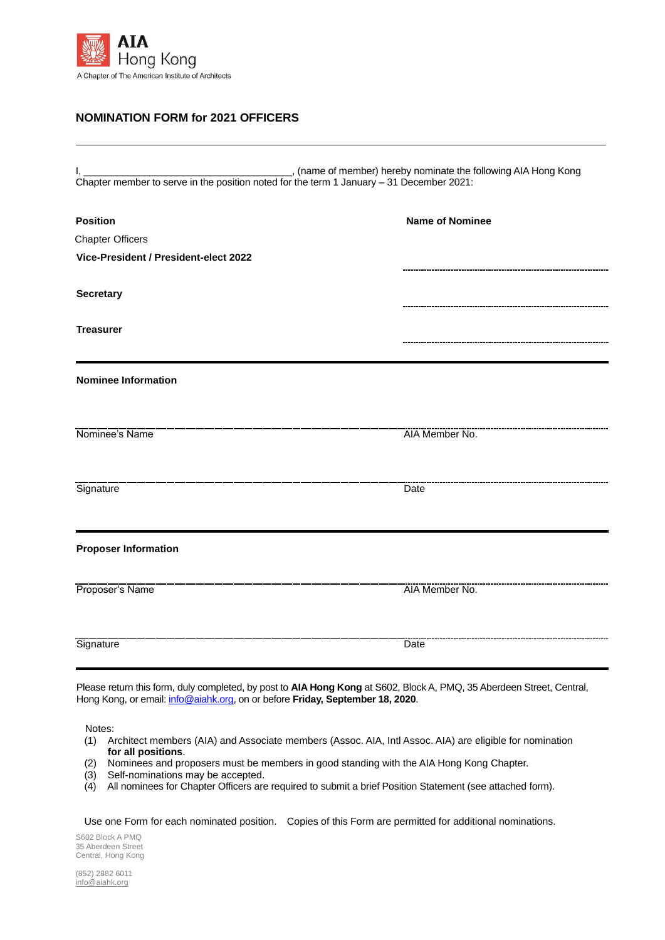

## **NOMINATION FORM for 2021 OFFICERS**

I, \_\_\_\_\_\_\_\_\_\_\_\_\_\_\_\_\_\_\_\_\_\_\_\_\_\_\_\_\_\_\_\_\_\_\_\_\_\_, (name of member) hereby nominate the following AIA Hong Kong Chapter member to serve in the position noted for the term 1 January – 31 December 2021:

| <b>Position</b>                       | <b>Name of Nominee</b> |
|---------------------------------------|------------------------|
| <b>Chapter Officers</b>               |                        |
| Vice-President / President-elect 2022 |                        |
|                                       |                        |
| <b>Secretary</b>                      |                        |
| <b>Treasurer</b>                      |                        |
|                                       |                        |
| <b>Nominee Information</b>            |                        |
|                                       |                        |
|                                       |                        |
|                                       |                        |
|                                       |                        |
| Signature                             | Date                   |
|                                       |                        |
|                                       |                        |
| <b>Proposer Information</b>           |                        |
|                                       |                        |
|                                       | AIA Member No.         |
|                                       |                        |
| Signature                             | Date                   |
|                                       |                        |

Please return this form, duly completed, by post to **AIA Hong Kong** at S602, Block A, PMQ, 35 Aberdeen Street, Central, Hong Kong, or email[: info@aiahk.org,](mailto:info@aiahk.org) on or before **Friday, September 18, 2020**.

Notes:

- (1) Architect members (AIA) and Associate members (Assoc. AIA, Intl Assoc. AIA) are eligible for nomination **for all positions**.
- (2) Nominees and proposers must be members in good standing with the AIA Hong Kong Chapter.
- (3) Self-nominations may be accepted.
- (4) All nominees for Chapter Officers are required to submit a brief Position Statement (see attached form).

Use one Form for each nominated position. Copies of this Form are permitted for additional nominations.

S602 Block A PMQ 35 Aberdeen Street Central, Hong Kong

(852) 2882 6011 [info@aiahk.org](mailto:info@aiahk.org)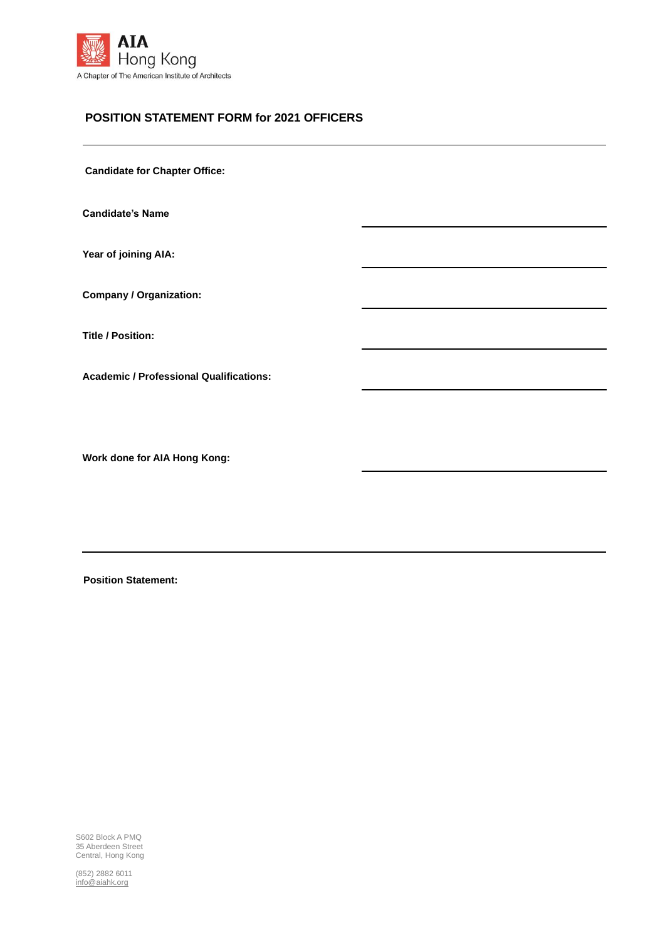

## **POSITION STATEMENT FORM for 2021 OFFICERS**

**Candidate for Chapter Office:**

**Candidate's Name**

**Year of joining AIA:**

**Company / Organization:**

**Title / Position:**

**Academic / Professional Qualifications:**

**Work done for AIA Hong Kong:**

**Position Statement:**

S602 Block A PMQ 35 Aberdeen Street Central, Hong Kong

(852) 2882 6011 [info@aiahk.org](mailto:info@aiahk.org)